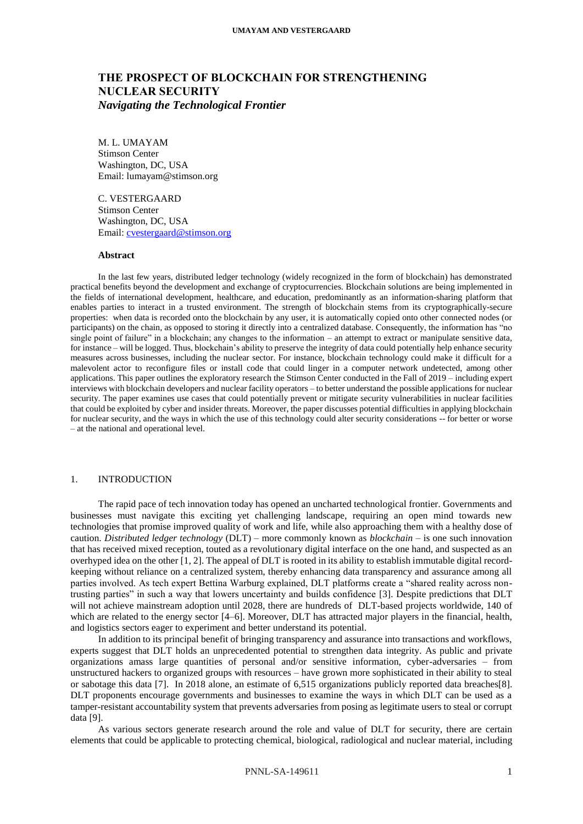# **THE PROSPECT OF BLOCKCHAIN FOR STRENGTHENING NUCLEAR SECURITY**  *Navigating the Technological Frontier*

M. L. UMAYAM Stimson Center Washington, DC, USA Email: lumayam@stimson.org

C. VESTERGAARD Stimson Center Washington, DC, USA Email: [cvestergaard@stimson.org](mailto:cvestergaard@stimson.org)

#### **Abstract**

In the last few years, distributed ledger technology (widely recognized in the form of blockchain) has demonstrated practical benefits beyond the development and exchange of cryptocurrencies. Blockchain solutions are being implemented in the fields of international development, healthcare, and education, predominantly as an information-sharing platform that enables parties to interact in a trusted environment. The strength of blockchain stems from its cryptographically-secure properties: when data is recorded onto the blockchain by any user, it is automatically copied onto other connected nodes (or participants) on the chain, as opposed to storing it directly into a centralized database. Consequently, the information has "no single point of failure" in a blockchain; any changes to the information – an attempt to extract or manipulate sensitive data, for instance – will be logged. Thus, blockchain's ability to preserve the integrity of data could potentially help enhance security measures across businesses, including the nuclear sector. For instance, blockchain technology could make it difficult for a malevolent actor to reconfigure files or install code that could linger in a computer network undetected, among other applications. This paper outlines the exploratory research the Stimson Center conducted in the Fall of 2019 – including expert interviews with blockchain developers and nuclear facility operators – to better understand the possible applications for nuclear security. The paper examines use cases that could potentially prevent or mitigate security vulnerabilities in nuclear facilities that could be exploited by cyber and insider threats. Moreover, the paper discusses potential difficulties in applying blockchain for nuclear security, and the ways in which the use of this technology could alter security considerations -- for better or worse – at the national and operational level.

# 1. INTRODUCTION

The rapid pace of tech innovation today has opened an uncharted technological frontier. Governments and businesses must navigate this exciting yet challenging landscape, requiring an open mind towards new technologies that promise improved quality of work and life, while also approaching them with a healthy dose of caution. *Distributed ledger technology* (DLT) – more commonly known as *blockchain* – is one such innovation that has received mixed reception, touted as a revolutionary digital interface on the one hand, and suspected as an overhyped idea on the other [1, 2]. The appeal of DLT is rooted in its ability to establish immutable digital recordkeeping without reliance on a centralized system, thereby enhancing data transparency and assurance among all parties involved. As tech expert Bettina Warburg explained, DLT platforms create a "shared reality across nontrusting parties" in such a way that lowers uncertainty and builds confidence [3]. Despite predictions that DLT will not achieve mainstream adoption until 2028, there are hundreds ofDLT-based projects worldwide, 140 of which are related to the energy sector [4–6]. Moreover, DLT has attracted major players in the financial, health, and logistics sectors eager to experiment and better understand its potential.

In addition to its principal benefit of bringing transparency and assurance into transactions and workflows, experts suggest that DLT holds an unprecedented potential to strengthen data integrity. As public and private organizations amass large quantities of personal and/or sensitive information, cyber-adversaries – from unstructured hackers to organized groups with resources – have grown more sophisticated in their ability to steal or sabotage this data [7]. In 2018 alone, an estimate of 6,515 organizations publicly reported data breaches[8]. DLT proponents encourage governments and businesses to examine the ways in which DLT can be used as a tamper-resistant accountability system that prevents adversaries from posing as legitimate users to steal or corrupt data [9].

As various sectors generate research around the role and value of DLT for security, there are certain elements that could be applicable to protecting chemical, biological, radiological and nuclear material, including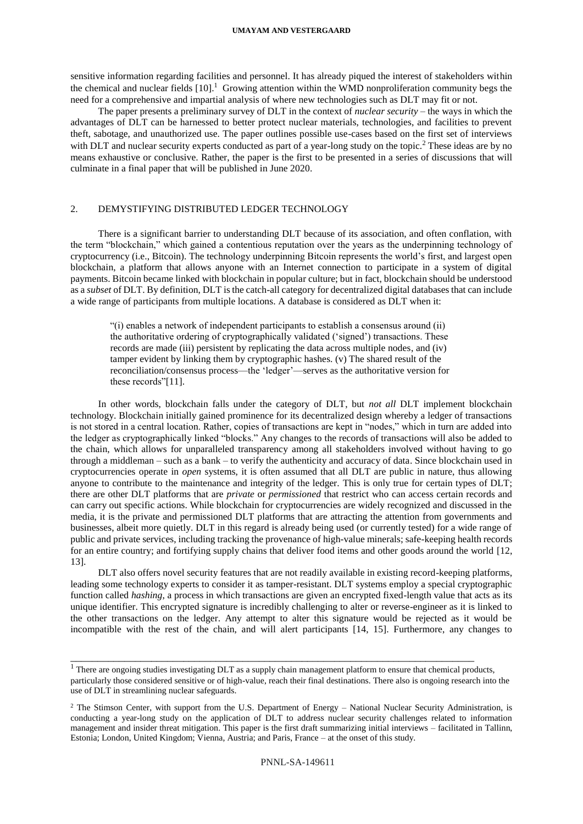#### **UMAYAM AND VESTERGAARD**

sensitive information regarding facilities and personnel. It has already piqued the interest of stakeholders within the chemical and nuclear fields  $[10]$ .<sup>1</sup> Growing attention within the WMD nonproliferation community begs the need for a comprehensive and impartial analysis of where new technologies such as DLT may fit or not.

The paper presents a preliminary survey of DLT in the context of *nuclear security* – the ways in which the advantages of DLT can be harnessed to better protect nuclear materials, technologies, and facilities to prevent theft, sabotage, and unauthorized use. The paper outlines possible use-cases based on the first set of interviews with DLT and nuclear security experts conducted as part of a year-long study on the topic.<sup>2</sup> These ideas are by no means exhaustive or conclusive. Rather, the paper is the first to be presented in a series of discussions that will culminate in a final paper that will be published in June 2020.

# 2. DEMYSTIFYING DISTRIBUTED LEDGER TECHNOLOGY

There is a significant barrier to understanding DLT because of its association, and often conflation, with the term "blockchain," which gained a contentious reputation over the years as the underpinning technology of cryptocurrency (i.e., Bitcoin). The technology underpinning Bitcoin represents the world's first, and largest open blockchain, a platform that allows anyone with an Internet connection to participate in a system of digital payments. Bitcoin became linked with blockchain in popular culture; but in fact, blockchain should be understood as a *subset* of DLT. By definition, DLT is the catch-all category for decentralized digital databases that can include a wide range of participants from multiple locations. A database is considered as DLT when it:

"(i) enables a network of independent participants to establish a consensus around (ii) the authoritative ordering of cryptographically validated ('signed') transactions. These records are made (iii) persistent by replicating the data across multiple nodes, and (iv) tamper evident by linking them by cryptographic hashes. (v) The shared result of the reconciliation/consensus process—the 'ledger'—serves as the authoritative version for these records"[11].

In other words, blockchain falls under the category of DLT, but *not all* DLT implement blockchain technology. Blockchain initially gained prominence for its decentralized design whereby a ledger of transactions is not stored in a central location. Rather, copies of transactions are kept in "nodes," which in turn are added into the ledger as cryptographically linked "blocks." Any changes to the records of transactions will also be added to the chain, which allows for unparalleled transparency among all stakeholders involved without having to go through a middleman – such as a bank – to verify the authenticity and accuracy of data. Since blockchain used in cryptocurrencies operate in *open* systems, it is often assumed that all DLT are public in nature, thus allowing anyone to contribute to the maintenance and integrity of the ledger. This is only true for certain types of DLT; there are other DLT platforms that are *private* or *permissioned* that restrict who can access certain records and can carry out specific actions. While blockchain for cryptocurrencies are widely recognized and discussed in the media, it is the private and permissioned DLT platforms that are attracting the attention from governments and businesses, albeit more quietly. DLT in this regard is already being used (or currently tested) for a wide range of public and private services, including tracking the provenance of high-value minerals; safe-keeping health records for an entire country; and fortifying supply chains that deliver food items and other goods around the world [12, 13].

DLT also offers novel security features that are not readily available in existing record-keeping platforms, leading some technology experts to consider it as tamper-resistant. DLT systems employ a special cryptographic function called *hashing*, a process in which transactions are given an encrypted fixed-length value that acts as its unique identifier. This encrypted signature is incredibly challenging to alter or reverse-engineer as it is linked to the other transactions on the ledger. Any attempt to alter this signature would be rejected as it would be incompatible with the rest of the chain, and will alert participants [14, 15]. Furthermore, any changes to

\_\_\_\_\_\_\_\_\_\_\_\_\_\_\_\_\_\_\_\_\_\_\_\_\_\_\_\_\_\_\_\_\_\_\_\_\_\_\_\_\_\_\_\_\_\_\_\_\_\_\_\_\_\_\_\_\_\_\_\_\_\_\_\_\_\_\_\_\_\_\_\_\_\_\_

<sup>&</sup>lt;sup>1</sup> There are ongoing studies investigating DLT as a supply chain management platform to ensure that chemical products, particularly those considered sensitive or of high-value, reach their final destinations. There also is ongoing research into the use of DLT in streamlining nuclear safeguards.

<sup>&</sup>lt;sup>2</sup> The Stimson Center, with support from the U.S. Department of Energy – National Nuclear Security Administration, is conducting a year-long study on the application of DLT to address nuclear security challenges related to information management and insider threat mitigation. This paper is the first draft summarizing initial interviews – facilitated in Tallinn, Estonia; London, United Kingdom; Vienna, Austria; and Paris, France – at the onset of this study.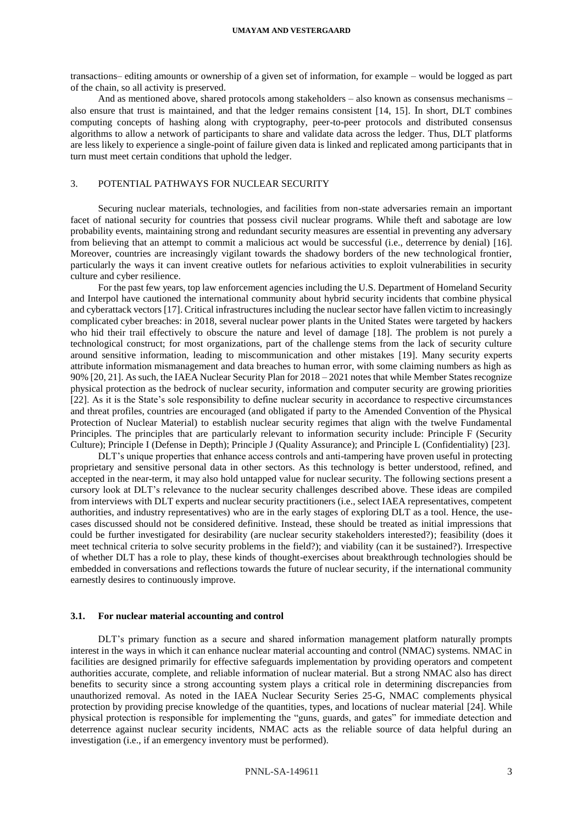transactions– editing amounts or ownership of a given set of information, for example – would be logged as part of the chain, so all activity is preserved.

And as mentioned above, shared protocols among stakeholders – also known as consensus mechanisms – also ensure that trust is maintained, and that the ledger remains consistent [14, 15]. In short, DLT combines computing concepts of hashing along with cryptography, peer-to-peer protocols and distributed consensus algorithms to allow a network of participants to share and validate data across the ledger. Thus, DLT platforms are less likely to experience a single-point of failure given data is linked and replicated among participants that in turn must meet certain conditions that uphold the ledger.

#### 3. POTENTIAL PATHWAYS FOR NUCLEAR SECURITY

Securing nuclear materials, technologies, and facilities from non-state adversaries remain an important facet of national security for countries that possess civil nuclear programs. While theft and sabotage are low probability events, maintaining strong and redundant security measures are essential in preventing any adversary from believing that an attempt to commit a malicious act would be successful (i.e., deterrence by denial) [16]. Moreover, countries are increasingly vigilant towards the shadowy borders of the new technological frontier, particularly the ways it can invent creative outlets for nefarious activities to exploit vulnerabilities in security culture and cyber resilience.

For the past few years, top law enforcement agencies including the U.S. Department of Homeland Security and Interpol have cautioned the international community about hybrid security incidents that combine physical and cyberattack vectors [17]. Critical infrastructures including the nuclear sector have fallen victim to increasingly complicated cyber breaches: in 2018, several nuclear power plants in the United States were targeted by hackers who hid their trail effectively to obscure the nature and level of damage [18]. The problem is not purely a technological construct; for most organizations, part of the challenge stems from the lack of security culture around sensitive information, leading to miscommunication and other mistakes [19]. Many security experts attribute information mismanagement and data breaches to human error, with some claiming numbers as high as 90% [20, 21]. As such, the IAEA Nuclear Security Plan for 2018 – 2021 notes that while Member States recognize physical protection as the bedrock of nuclear security, information and computer security are growing priorities [22]. As it is the State's sole responsibility to define nuclear security in accordance to respective circumstances and threat profiles, countries are encouraged (and obligated if party to the Amended Convention of the Physical Protection of Nuclear Material) to establish nuclear security regimes that align with the twelve Fundamental Principles. The principles that are particularly relevant to information security include: Principle F (Security Culture); Principle I (Defense in Depth); Principle J (Quality Assurance); and Principle L (Confidentiality) [23].

DLT's unique properties that enhance access controls and anti-tampering have proven useful in protecting proprietary and sensitive personal data in other sectors. As this technology is better understood, refined, and accepted in the near-term, it may also hold untapped value for nuclear security. The following sections present a cursory look at DLT's relevance to the nuclear security challenges described above. These ideas are compiled from interviews with DLT experts and nuclear security practitioners (i.e., select IAEA representatives, competent authorities, and industry representatives) who are in the early stages of exploring DLT as a tool. Hence, the usecases discussed should not be considered definitive. Instead, these should be treated as initial impressions that could be further investigated for desirability (are nuclear security stakeholders interested?); feasibility (does it meet technical criteria to solve security problems in the field?); and viability (can it be sustained?). Irrespective of whether DLT has a role to play, these kinds of thought-exercises about breakthrough technologies should be embedded in conversations and reflections towards the future of nuclear security, if the international community earnestly desires to continuously improve.

## **3.1. For nuclear material accounting and control**

DLT's primary function as a secure and shared information management platform naturally prompts interest in the ways in which it can enhance nuclear material accounting and control (NMAC) systems. NMAC in facilities are designed primarily for effective safeguards implementation by providing operators and competent authorities accurate, complete, and reliable information of nuclear material. But a strong NMAC also has direct benefits to security since a strong accounting system plays a critical role in determining discrepancies from unauthorized removal. As noted in the IAEA Nuclear Security Series 25-G, NMAC complements physical protection by providing precise knowledge of the quantities, types, and locations of nuclear material [24]. While physical protection is responsible for implementing the "guns, guards, and gates" for immediate detection and deterrence against nuclear security incidents, NMAC acts as the reliable source of data helpful during an investigation (i.e., if an emergency inventory must be performed).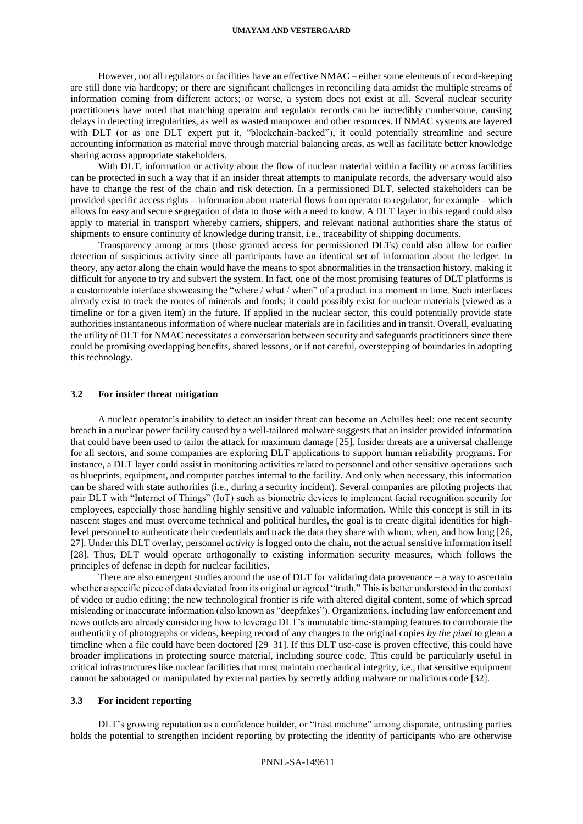#### **UMAYAM AND VESTERGAARD**

However, not all regulators or facilities have an effective NMAC – either some elements of record-keeping are still done via hardcopy; or there are significant challenges in reconciling data amidst the multiple streams of information coming from different actors; or worse, a system does not exist at all. Several nuclear security practitioners have noted that matching operator and regulator records can be incredibly cumbersome, causing delays in detecting irregularities, as well as wasted manpower and other resources. If NMAC systems are layered with DLT (or as one DLT expert put it, "blockchain-backed"), it could potentially streamline and secure accounting information as material move through material balancing areas, as well as facilitate better knowledge sharing across appropriate stakeholders.

With DLT, information or activity about the flow of nuclear material within a facility or across facilities can be protected in such a way that if an insider threat attempts to manipulate records, the adversary would also have to change the rest of the chain and risk detection. In a permissioned DLT, selected stakeholders can be provided specific access rights – information about material flows from operator to regulator, for example – which allows for easy and secure segregation of data to those with a need to know. A DLT layer in this regard could also apply to material in transport whereby carriers, shippers, and relevant national authorities share the status of shipments to ensure continuity of knowledge during transit, i.e., traceability of shipping documents.

Transparency among actors (those granted access for permissioned DLTs) could also allow for earlier detection of suspicious activity since all participants have an identical set of information about the ledger. In theory, any actor along the chain would have the means to spot abnormalities in the transaction history, making it difficult for anyone to try and subvert the system. In fact, one of the most promising features of DLT platforms is a customizable interface showcasing the "where / what / when" of a product in a moment in time. Such interfaces already exist to track the routes of minerals and foods; it could possibly exist for nuclear materials (viewed as a timeline or for a given item) in the future. If applied in the nuclear sector, this could potentially provide state authorities instantaneous information of where nuclear materials are in facilities and in transit. Overall, evaluating the utility of DLT for NMAC necessitates a conversation between security and safeguards practitioners since there could be promising overlapping benefits, shared lessons, or if not careful, overstepping of boundaries in adopting this technology.

# **3.2 For insider threat mitigation**

A nuclear operator's inability to detect an insider threat can become an Achilles heel; one recent security breach in a nuclear power facility caused by a well-tailored malware suggests that an insider provided information that could have been used to tailor the attack for maximum damage [25]. Insider threats are a universal challenge for all sectors, and some companies are exploring DLT applications to support human reliability programs. For instance, a DLT layer could assist in monitoring activities related to personnel and other sensitive operations such as blueprints, equipment, and computer patches internal to the facility. And only when necessary, this information can be shared with state authorities (i.e., during a security incident). Several companies are piloting projects that pair DLT with "Internet of Things" (IoT) such as biometric devices to implement facial recognition security for employees, especially those handling highly sensitive and valuable information. While this concept is still in its nascent stages and must overcome technical and political hurdles, the goal is to create digital identities for highlevel personnel to authenticate their credentials and track the data they share with whom, when, and how long [26, 27]. Under this DLT overlay, personnel *activity* is logged onto the chain, not the actual sensitive information itself [28]. Thus, DLT would operate orthogonally to existing information security measures, which follows the principles of defense in depth for nuclear facilities.

There are also emergent studies around the use of DLT for validating data provenance – a way to ascertain whether a specific piece of data deviated from its original or agreed "truth." This is better understood in the context of video or audio editing; the new technological frontier is rife with altered digital content, some of which spread misleading or inaccurate information (also known as "deepfakes"). Organizations, including law enforcement and news outlets are already considering how to leverage DLT's immutable time-stamping features to corroborate the authenticity of photographs or videos, keeping record of any changes to the original copies *by the pixel* to glean a timeline when a file could have been doctored [29–31]. If this DLT use-case is proven effective, this could have broader implications in protecting source material, including source code. This could be particularly useful in critical infrastructures like nuclear facilities that must maintain mechanical integrity, i.e., that sensitive equipment cannot be sabotaged or manipulated by external parties by secretly adding malware or malicious code [32].

# **3.3 For incident reporting**

DLT's growing reputation as a confidence builder, or "trust machine" among disparate, untrusting parties holds the potential to strengthen incident reporting by protecting the identity of participants who are otherwise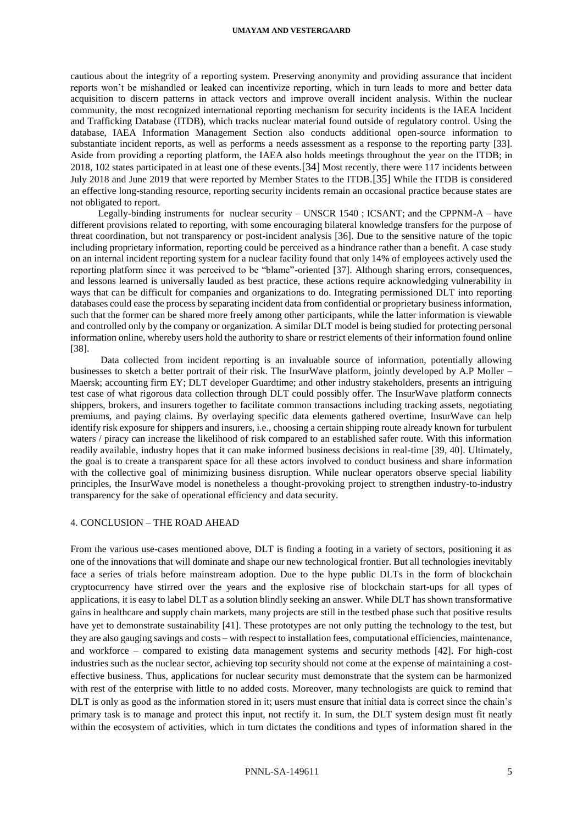#### **UMAYAM AND VESTERGAARD**

cautious about the integrity of a reporting system. Preserving anonymity and providing assurance that incident reports won't be mishandled or leaked can incentivize reporting, which in turn leads to more and better data acquisition to discern patterns in attack vectors and improve overall incident analysis. Within the nuclear community, the most recognized international reporting mechanism for security incidents is the IAEA Incident and Trafficking Database (ITDB), which tracks nuclear material found outside of regulatory control. Using the database, IAEA Information Management Section also conducts additional open-source information to substantiate incident reports, as well as performs a needs assessment as a response to the reporting party [33]. Aside from providing a reporting platform, the IAEA also holds meetings throughout the year on the ITDB; in 2018, 102 states participated in at least one of these events.[34] Most recently, there were 117 incidents between July 2018 and June 2019 that were reported by Member States to the ITDB.[35] While the ITDB is considered an effective long-standing resource, reporting security incidents remain an occasional practice because states are not obligated to report.

Legally-binding instruments for nuclear security – UNSCR 1540 ; ICSANT; and the CPPNM-A – have different provisions related to reporting, with some encouraging bilateral knowledge transfers for the purpose of threat coordination, but not transparency or post-incident analysis [36]. Due to the sensitive nature of the topic including proprietary information, reporting could be perceived as a hindrance rather than a benefit. A case study on an internal incident reporting system for a nuclear facility found that only 14% of employees actively used the reporting platform since it was perceived to be "blame"-oriented [37]. Although sharing errors, consequences, and lessons learned is universally lauded as best practice, these actions require acknowledging vulnerability in ways that can be difficult for companies and organizations to do. Integrating permissioned DLT into reporting databases could ease the process by separating incident data from confidential or proprietary business information, such that the former can be shared more freely among other participants, while the latter information is viewable and controlled only by the company or organization. A similar DLT model is being studied for protecting personal information online, whereby users hold the authority to share or restrict elements of their information found online [38].

Data collected from incident reporting is an invaluable source of information, potentially allowing businesses to sketch a better portrait of their risk. The InsurWave platform, jointly developed by A.P Moller – Maersk; accounting firm EY; DLT developer Guardtime; and other industry stakeholders, presents an intriguing test case of what rigorous data collection through DLT could possibly offer. The InsurWave platform connects shippers, brokers, and insurers together to facilitate common transactions including tracking assets, negotiating premiums, and paying claims. By overlaying specific data elements gathered overtime, InsurWave can help identify risk exposure for shippers and insurers, i.e., choosing a certain shipping route already known for turbulent waters / piracy can increase the likelihood of risk compared to an established safer route. With this information readily available, industry hopes that it can make informed business decisions in real-time [39, 40]. Ultimately, the goal is to create a transparent space for all these actors involved to conduct business and share information with the collective goal of minimizing business disruption. While nuclear operators observe special liability principles, the InsurWave model is nonetheless a thought-provoking project to strengthen industry-to-industry transparency for the sake of operational efficiency and data security.

# 4. CONCLUSION – THE ROAD AHEAD

From the various use-cases mentioned above, DLT is finding a footing in a variety of sectors, positioning it as one of the innovations that will dominate and shape our new technological frontier. But all technologies inevitably face a series of trials before mainstream adoption. Due to the hype public DLTs in the form of blockchain cryptocurrency have stirred over the years and the explosive rise of blockchain start-ups for all types of applications, it is easy to label DLT as a solution blindly seeking an answer. While DLT has shown transformative gains in healthcare and supply chain markets, many projects are still in the testbed phase such that positive results have yet to demonstrate sustainability [41]. These prototypes are not only putting the technology to the test, but they are also gauging savings and costs – with respect to installation fees, computational efficiencies, maintenance, and workforce – compared to existing data management systems and security methods [42]. For high-cost industries such as the nuclear sector, achieving top security should not come at the expense of maintaining a costeffective business. Thus, applications for nuclear security must demonstrate that the system can be harmonized with rest of the enterprise with little to no added costs. Moreover, many technologists are quick to remind that DLT is only as good as the information stored in it; users must ensure that initial data is correct since the chain's primary task is to manage and protect this input, not rectify it. In sum, the DLT system design must fit neatly within the ecosystem of activities, which in turn dictates the conditions and types of information shared in the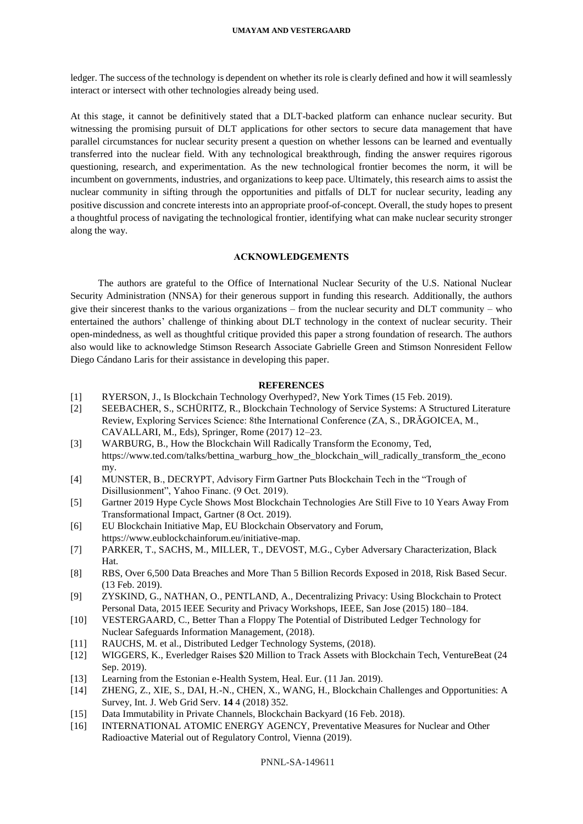ledger. The success of the technology is dependent on whether its role is clearly defined and how it will seamlessly interact or intersect with other technologies already being used.

At this stage, it cannot be definitively stated that a DLT-backed platform can enhance nuclear security. But witnessing the promising pursuit of DLT applications for other sectors to secure data management that have parallel circumstances for nuclear security present a question on whether lessons can be learned and eventually transferred into the nuclear field. With any technological breakthrough, finding the answer requires rigorous questioning, research, and experimentation. As the new technological frontier becomes the norm, it will be incumbent on governments, industries, and organizations to keep pace. Ultimately, this research aims to assist the nuclear community in sifting through the opportunities and pitfalls of DLT for nuclear security, leading any positive discussion and concrete interests into an appropriate proof-of-concept. Overall, the study hopes to present a thoughtful process of navigating the technological frontier, identifying what can make nuclear security stronger along the way.

# **ACKNOWLEDGEMENTS**

The authors are grateful to the Office of International Nuclear Security of the U.S. National Nuclear Security Administration (NNSA) for their generous support in funding this research. Additionally, the authors give their sincerest thanks to the various organizations – from the nuclear security and DLT community – who entertained the authors' challenge of thinking about DLT technology in the context of nuclear security. Their open-mindedness, as well as thoughtful critique provided this paper a strong foundation of research. The authors also would like to acknowledge Stimson Research Associate Gabrielle Green and Stimson Nonresident Fellow Diego Cándano Laris for their assistance in developing this paper.

# **REFERENCES**

- [1] RYERSON, J., Is Blockchain Technology Overhyped?, New York Times (15 Feb. 2019).
- [2] SEEBACHER, S., SCHÜRITZ, R., Blockchain Technology of Service Systems: A Structured Literature Review, Exploring Services Science: 8the International Conference (ZA, S., DRĂGOICEA, M., CAVALLARI, M., Eds), Springer, Rome (2017) 12–23.
- [3] WARBURG, B., How the Blockchain Will Radically Transform the Economy, Ted, https://www.ted.com/talks/bettina\_warburg\_how\_the\_blockchain\_will\_radically\_transform\_the\_econo my.
- [4] MUNSTER, B., DECRYPT, Advisory Firm Gartner Puts Blockchain Tech in the "Trough of Disillusionment", Yahoo Financ. (9 Oct. 2019).
- [5] Gartner 2019 Hype Cycle Shows Most Blockchain Technologies Are Still Five to 10 Years Away From Transformational Impact, Gartner (8 Oct. 2019).
- [6] EU Blockchain Initiative Map, EU Blockchain Observatory and Forum, https://www.eublockchainforum.eu/initiative-map.
- [7] PARKER, T., SACHS, M., MILLER, T., DEVOST, M.G., Cyber Adversary Characterization, Black Hat.
- [8] RBS, Over 6,500 Data Breaches and More Than 5 Billion Records Exposed in 2018, Risk Based Secur. (13 Feb. 2019).
- [9] ZYSKIND, G., NATHAN, O., PENTLAND, A., Decentralizing Privacy: Using Blockchain to Protect Personal Data, 2015 IEEE Security and Privacy Workshops, IEEE, San Jose (2015) 180–184.
- [10] VESTERGAARD, C., Better Than a Floppy The Potential of Distributed Ledger Technology for Nuclear Safeguards Information Management, (2018).
- [11] RAUCHS, M. et al., Distributed Ledger Technology Systems, (2018).
- [12] WIGGERS, K., Everledger Raises \$20 Million to Track Assets with Blockchain Tech, VentureBeat (24 Sep. 2019).
- [13] Learning from the Estonian e-Health System, Heal. Eur. (11 Jan. 2019).
- [14] ZHENG, Z., XIE, S., DAI, H.-N., CHEN, X., WANG, H., Blockchain Challenges and Opportunities: A Survey, Int. J. Web Grid Serv. **14** 4 (2018) 352.
- [15] Data Immutability in Private Channels, Blockchain Backyard (16 Feb. 2018).
- [16] INTERNATIONAL ATOMIC ENERGY AGENCY, Preventative Measures for Nuclear and Other Radioactive Material out of Regulatory Control, Vienna (2019).